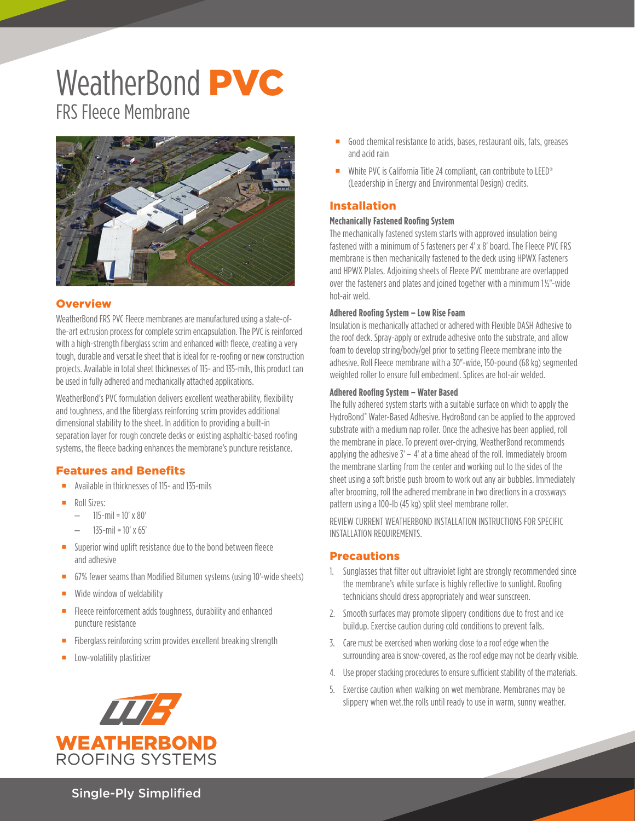# WeatherBond PVC FRS Fleece Membrane



## **Overview**

WeatherBond FRS PVC Fleece membranes are manufactured using a state-ofthe-art extrusion process for complete scrim encapsulation. The PVC is reinforced with a high-strength fiberglass scrim and enhanced with fleece, creating a very tough, durable and versatile sheet that is ideal for re-roofing or new construction projects. Available in total sheet thicknesses of 115- and 135-mils, this product can be used in fully adhered and mechanically attached applications.

WeatherBond's PVC formulation delivers excellent weatherability, flexibility and toughness, and the fiberglass reinforcing scrim provides additional dimensional stability to the sheet. In addition to providing a built-in separation layer for rough concrete decks or existing asphaltic-based roofing systems, the fleece backing enhances the membrane's puncture resistance.

# Features and Benefits

- **Available in thicknesses of 115- and 135-mils**
- Roll Sizes:
	- $115$ -mil =  $10'$  x  $80'$
	- 135-mil = 10' x 65'
- Superior wind uplift resistance due to the bond between fleece and adhesive
- 67% fewer seams than Modified Bitumen systems (using 10'-wide sheets)
- **Wide window of weldability**
- **Fleece reinforcement adds toughness, durability and enhanced** puncture resistance
- **Fiberglass reinforcing scrim provides excellent breaking strength**
- **Low-volatility plasticizer**



- Good chemical resistance to acids, bases, restaurant oils, fats, greases and acid rain
- White PVC is California Title 24 compliant, can contribute to LEED<sup>®</sup> (Leadership in Energy and Environmental Design) credits.

## Installation

#### **Mechanically Fastened Roofing System**

The mechanically fastened system starts with approved insulation being fastened with a minimum of 5 fasteners per 4' x 8' board. The Fleece PVC FRS membrane is then mechanically fastened to the deck using HPWX Fasteners and HPWX Plates. Adjoining sheets of Fleece PVC membrane are overlapped over the fasteners and plates and joined together with a minimum 1½"-wide hot-air weld.

#### **Adhered Roofing System – Low Rise Foam**

Insulation is mechanically attached or adhered with Flexible DASH Adhesive to the roof deck. Spray-apply or extrude adhesive onto the substrate, and allow foam to develop string/body/gel prior to setting Fleece membrane into the adhesive. Roll Fleece membrane with a 30"-wide, 150-pound (68 kg) segmented weighted roller to ensure full embedment. Splices are hot-air welded.

#### **Adhered Roofing System – Water Based**

The fully adhered system starts with a suitable surface on which to apply the HydroBond™ Water-Based Adhesive. HydroBond can be applied to the approved substrate with a medium nap roller. Once the adhesive has been applied, roll the membrane in place. To prevent over-drying, WeatherBond recommends applying the adhesive 3' – 4' at a time ahead of the roll. Immediately broom the membrane starting from the center and working out to the sides of the sheet using a soft bristle push broom to work out any air bubbles. Immediately after brooming, roll the adhered membrane in two directions in a crossways pattern using a 100-lb (45 kg) split steel membrane roller.

REVIEW CURRENT WEATHERBOND INSTALLATION INSTRUCTIONS FOR SPECIFIC INSTALLATION REQUIREMENTS.

## **Precautions**

- 1. Sunglasses that filter out ultraviolet light are strongly recommended since the membrane's white surface is highly reflective to sunlight. Roofing technicians should dress appropriately and wear sunscreen.
- 2. Smooth surfaces may promote slippery conditions due to frost and ice buildup. Exercise caution during cold conditions to prevent falls.
- 3. Care must be exercised when working close to a roof edge when the surrounding area is snow-covered, as the roof edge may not be clearly visible.
- 4. Use proper stacking procedures to ensure sufficient stability of the materials.
- 5. Exercise caution when walking on wet membrane. Membranes may be slippery when wet.the rolls until ready to use in warm, sunny weather.